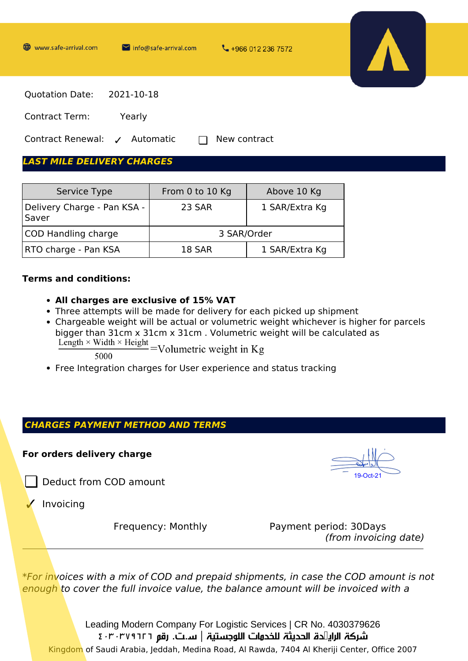

# $S$ ervice Type From 0 to 10 Kg Above 10 Kg

| <b>SELVICE LADE</b>                    | <b>FIUIII U LU LU NU</b> | ADOVE IV NO    |
|----------------------------------------|--------------------------|----------------|
| Delivery Charge - Pan KSA -  <br>Saver | 23 SAR                   | 1 SAR/Extra Kg |
| COD Handling charge                    | 3 SAR/Order              |                |
| <b>RTO charge - Pan KSA</b>            | 18 SAR                   | 1 SAR/Extra Kg |

#### **Terms and conditions:**

- **All charges are exclusive of 15% VAT**
- Three attempts will be made for delivery for each picked up shipment
- Chargeable weight will be actual or volumetric weight whichever is higher for parcels bigger than 31cm x 31cm x 31cm . Volumetric weight will be calculated as  $\frac{\text{Length} \times \text{Width} \times \text{Height}}{} = \text{Volume}$ 
	-
- Free Integration charges for User experience and status tracking

## *CHARGES PAYMENT METHOD AND TERMS*

## **For orders delivery charge**

❏ Deduct from COD amount

**Invoicing** 

Frequency: Monthly Payment period: 30Days *(from invoicing date)*

*\*For invoices with a mix of COD and prepaid shipments, in case the COD amount is not enough to cover the full invoice value, the balance amount will be invoiced with a*

Leading Modern Company For Logistic Services | CR No. 4030379626 شركة الرائدة الحديثة للخدمات اللوجستية | س.ت. رقم ٤٠٣٠٣٧٩٦٢٦ Kingdom of Saudi Arabia, Jeddah, Medina Road, Al Rawda, 7404 Al Kheriji Center, Office 2007

19-Oct-21